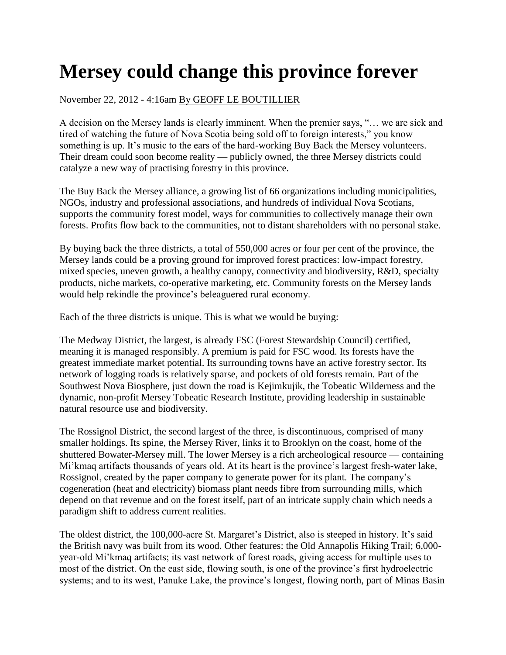## **Mersey could change this province forever**

## November 22, 2012 - 4:16am [By GEOFF LE BOUTILLIER](http://thechronicleherald.ca/author/by-geoff-le-boutillier)

A decision on the Mersey lands is clearly imminent. When the premier says, "… we are sick and tired of watching the future of Nova Scotia being sold off to foreign interests," you know something is up. It's music to the ears of the hard-working Buy Back the Mersey volunteers. Their dream could soon become reality — publicly owned, the three Mersey districts could catalyze a new way of practising forestry in this province.

The Buy Back the Mersey alliance, a growing list of 66 organizations including municipalities, NGOs, industry and professional associations, and hundreds of individual Nova Scotians, supports the community forest model, ways for communities to collectively manage their own forests. Profits flow back to the communities, not to distant shareholders with no personal stake.

By buying back the three districts, a total of 550,000 acres or four per cent of the province, the Mersey lands could be a proving ground for improved forest practices: low-impact forestry, mixed species, uneven growth, a healthy canopy, connectivity and biodiversity, R&D, specialty products, niche markets, co-operative marketing, etc. Community forests on the Mersey lands would help rekindle the province's beleaguered rural economy.

Each of the three districts is unique. This is what we would be buying:

The Medway District, the largest, is already FSC (Forest Stewardship Council) certified, meaning it is managed responsibly. A premium is paid for FSC wood. Its forests have the greatest immediate market potential. Its surrounding towns have an active forestry sector. Its network of logging roads is relatively sparse, and pockets of old forests remain. Part of the Southwest Nova Biosphere, just down the road is Kejimkujik, the Tobeatic Wilderness and the dynamic, non-profit Mersey Tobeatic Research Institute, providing leadership in sustainable natural resource use and biodiversity.

The Rossignol District, the second largest of the three, is discontinuous, comprised of many smaller holdings. Its spine, the Mersey River, links it to Brooklyn on the coast, home of the shuttered Bowater-Mersey mill. The lower Mersey is a rich archeological resource — containing Mi'kmaq artifacts thousands of years old. At its heart is the province's largest fresh-water lake, Rossignol, created by the paper company to generate power for its plant. The company's cogeneration (heat and electricity) biomass plant needs fibre from surrounding mills, which depend on that revenue and on the forest itself, part of an intricate supply chain which needs a paradigm shift to address current realities.

The oldest district, the 100,000-acre St. Margaret's District, also is steeped in history. It's said the British navy was built from its wood. Other features: the Old Annapolis Hiking Trail; 6,000 year-old Mi'kmaq artifacts; its vast network of forest roads, giving access for multiple uses to most of the district. On the east side, flowing south, is one of the province's first hydroelectric systems; and to its west, Panuke Lake, the province's longest, flowing north, part of Minas Basin